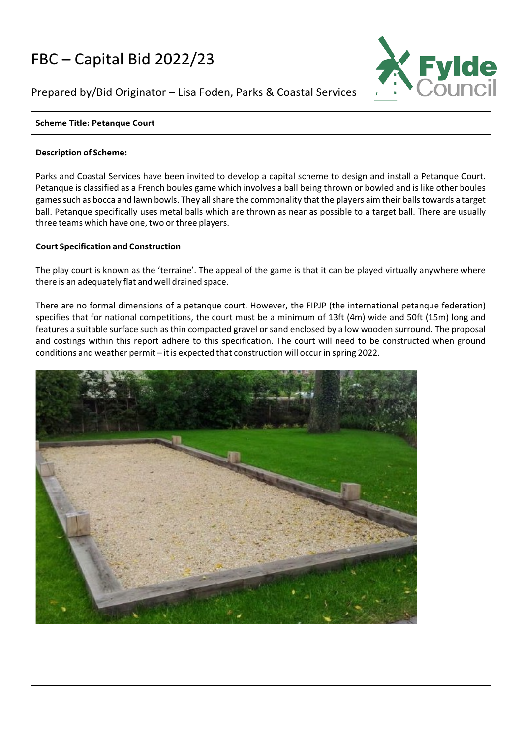# FBC – Capital Bid 2022/23



# Prepared by/Bid Originator – Lisa Foden, Parks & Coastal Services

# **Scheme Title: Petanque Court**

### **Description of Scheme:**

Parks and Coastal Services have been invited to develop a capital scheme to design and install a Petanque Court. Petanque is classified as a French boules game which involves a ball being thrown or bowled and is like other boules gamessuch as bocca and lawn bowls. They allshare the commonality that the players aim their ballstowards a target ball. Petanque specifically uses metal balls which are thrown as near as possible to a target ball. There are usually three teams which have one, two or three players.

## **Court Specification and Construction**

The play court is known as the 'terraine'. The appeal of the game is that it can be played virtually anywhere where there is an adequately flat and well drained space.

There are no formal dimensions of a petanque court. However, the FIPJP (the international petanque federation) specifies that for national competitions, the court must be a minimum of 13ft (4m) wide and 50ft (15m) long and features a suitable surface such as thin compacted gravel or sand enclosed by a low wooden surround. The proposal and costings within this report adhere to this specification. The court will need to be constructed when ground conditions and weather permit – it is expected that construction will occur in spring 2022.

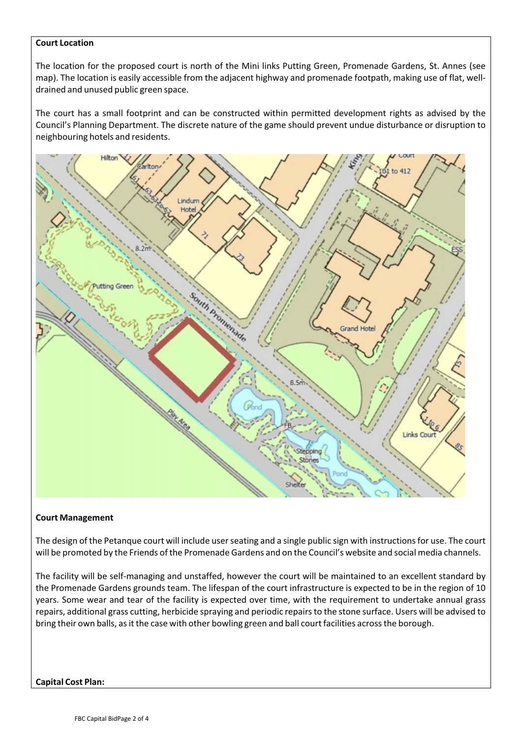#### **Court Location**

The location for the proposed court is north of the Mini links Putting Green, Promenade Gardens, St. Annes (see map). The location is easily accessible from the adjacent highway and promenade footpath, making use of flat, welldrained and unused public green space.

The court has a small footprint and can be constructed within permitted development rights as advised by the Council's Planning Department. The discrete nature of the game should prevent undue disturbance or disruption to neighbouring hotels and residents.



#### **Court Management**

The design of the Petanque court will include user seating and a single public sign with instructions for use. The court will be promoted by the Friends of the Promenade Gardens and on the Council's website and social media channels.

The facility will be self-managing and unstaffed, however the court will be maintained to an excellent standard by the Promenade Gardens grounds team. The lifespan of the court infrastructure is expected to be in the region of 10 years. Some wear and tear of the facility is expected over time, with the requirement to undertake annual grass repairs, additional grass cutting, herbicide spraying and periodic repairs to the stone surface. Users will be advised to bring their own balls, as it the case with other bowling green and ball court facilities across the borough.

**Capital Cost Plan:**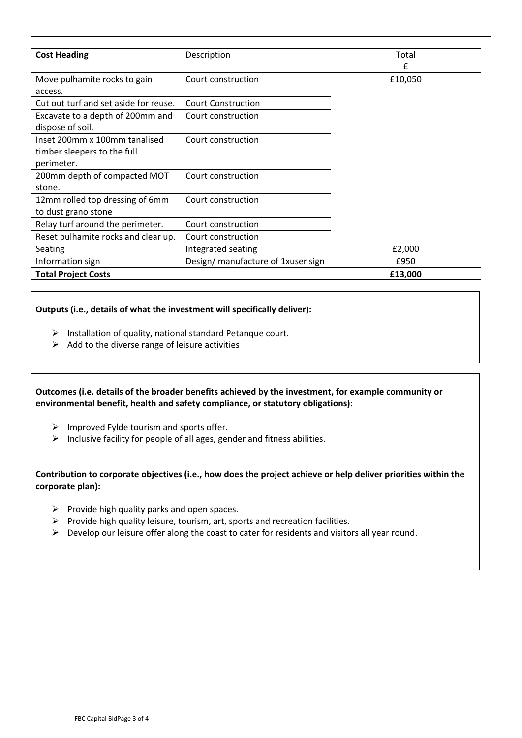| Description                        | Total   |
|------------------------------------|---------|
|                                    | f       |
| Court construction                 | £10,050 |
|                                    |         |
| <b>Court Construction</b>          |         |
| Court construction                 |         |
|                                    |         |
| Court construction                 |         |
|                                    |         |
|                                    |         |
| Court construction                 |         |
|                                    |         |
| Court construction                 |         |
|                                    |         |
| Court construction                 |         |
| Court construction                 |         |
| Integrated seating                 | £2,000  |
| Design/ manufacture of 1xuser sign | £950    |
|                                    | £13,000 |
|                                    |         |

#### **Outputs (i.e., details of what the investment will specifically deliver):**

- $\triangleright$  Installation of quality, national standard Petanque court.
- $\triangleright$  Add to the diverse range of leisure activities

**Outcomes (i.e. details of the broader benefits achieved by the investment, for example community or environmental benefit, health and safety compliance, or statutory obligations):**

- $\triangleright$  Improved Fylde tourism and sports offer.
- $\triangleright$  Inclusive facility for people of all ages, gender and fitness abilities.

**Contribution to corporate objectives (i.e., how does the project achieve or help deliver priorities within the corporate plan):**

- $\triangleright$  Provide high quality parks and open spaces.
- $\triangleright$  Provide high quality leisure, tourism, art, sports and recreation facilities.
- $\triangleright$  Develop our leisure offer along the coast to cater for residents and visitors all year round.